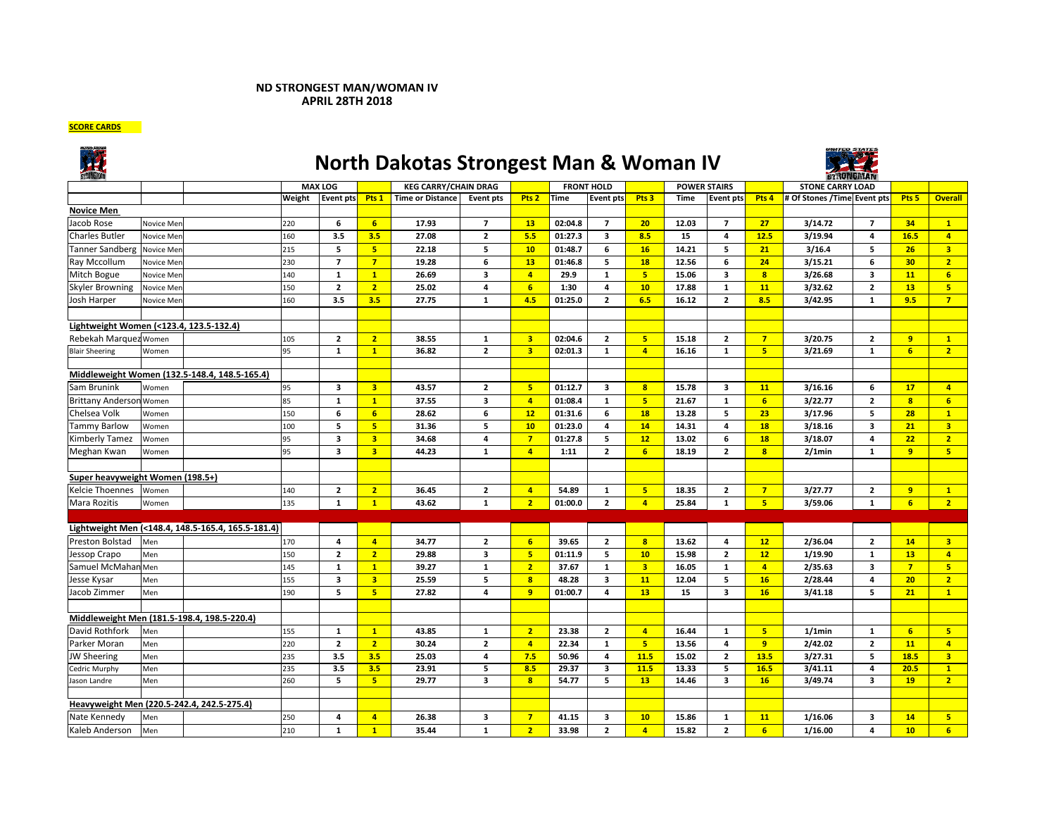## **ND STRONGEST MAN/WOMAN IV APRIL 28TH 2018**

**SCORE CARDS**



## **North Dakotas Strongest Man & Woman IV**



| <b><i>STRUNGHAM</i></b>                    |            |                                                    |                | <b>STRONGMAN</b>        |                         |                             |                         |                         |                   |                         |                         |       |                         |                         |                             |                         |                  |                         |
|--------------------------------------------|------------|----------------------------------------------------|----------------|-------------------------|-------------------------|-----------------------------|-------------------------|-------------------------|-------------------|-------------------------|-------------------------|-------|-------------------------|-------------------------|-----------------------------|-------------------------|------------------|-------------------------|
|                                            |            |                                                    | <b>MAX LOG</b> |                         |                         | <b>KEG CARRY/CHAIN DRAG</b> |                         |                         | <b>FRONT HOLD</b> |                         | <b>POWER STAIRS</b>     |       |                         |                         | <b>STONE CARRY LOAD</b>     |                         |                  |                         |
|                                            |            |                                                    | Weight         | <b>Event pts</b>        | Pts <sub>1</sub>        | <b>Time or Distance</b>     | <b>Event pts</b>        | Pts <sub>2</sub>        | <b>Time</b>       | <b>Event pts</b>        | Pts <sub>3</sub>        | Time  | <b>Event pts</b>        | Pts <sub>4</sub>        | # Of Stones /Time Event pts |                         | Pts <sub>5</sub> | <b>Overall</b>          |
| <b>Novice Men</b>                          |            |                                                    |                |                         |                         |                             |                         |                         |                   |                         |                         |       |                         |                         |                             |                         |                  |                         |
| Jacob Rose                                 | Novice Mer |                                                    | 220            | 6                       | 6                       | 17.93                       | $\overline{7}$          | 13                      | 02:04.8           | $\overline{7}$          | 20                      | 12.03 | $\overline{7}$          | 27                      | 3/14.72                     | $\overline{7}$          | 34               | $\mathbf{1}$            |
| <b>Charles Butler</b>                      | Novice Mer |                                                    | 160            | 3.5                     | 3.5                     | 27.08                       | $\mathbf{z}$            | 5.5                     | 01:27.3           | $\overline{\mathbf{3}}$ | 8.5                     | 15    | $\overline{\mathbf{a}}$ | 12.5                    | 3/19.94                     | 4                       | 16.5             | $\overline{4}$          |
| <b>Tanner Sandberg</b>                     | Novice Mer |                                                    | 215            | 5                       | 5 <sup>1</sup>          | 22.18                       | 5                       | 10                      | 01:48.7           | 6                       | 16                      | 14.21 | 5                       | 21                      | 3/16.4                      | 5                       | 26               | $\overline{3}$          |
| Ray Mccollum                               | Novice Mer |                                                    | 230            | $\overline{7}$          | $\overline{7}$          | 19.28                       | 6                       | 13                      | 01:46.8           | 5                       | 18                      | 12.56 | 6                       | 24                      | 3/15.21                     | 6                       |                  | $\overline{2}$          |
| Mitch Bogue                                | Novice Men |                                                    | 140            | $\mathbf 1$             | $\mathbf{1}$            | 26.69                       | 3                       | $\overline{4}$          | 29.9              | $\mathbf{1}$            | 5 <sub>1</sub>          | 15.06 | 3                       | 8                       | 3/26.68                     | 3                       | 11               | 6 <sup>1</sup>          |
| <b>Skyler Browning</b>                     | Novice Mer |                                                    | 150            | $\overline{2}$          | $\overline{2}$          | 25.02                       | 4                       | 6 <sup>1</sup>          | 1:30              | $\overline{a}$          | 10                      | 17.88 | $\mathbf{1}$            | 11                      | 3/32.62                     | $\overline{2}$          | 13               | 5 <sup>7</sup>          |
| Josh Harper                                | Novice Mer |                                                    | 160            | 3.5                     | 3.5                     | 27.75                       | $\mathbf{1}$            | 4.5                     | 01:25.0           | $\overline{2}$          | 6.5                     | 16.12 | $\overline{2}$          | 8.5                     | 3/42.95                     | $\mathbf{1}$            | 9.5              | $\overline{7}$          |
|                                            |            |                                                    |                |                         |                         |                             |                         |                         |                   |                         |                         |       |                         |                         |                             |                         |                  |                         |
| Lightweight Women (<123.4, 123.5-132.4)    |            |                                                    |                |                         |                         |                             |                         |                         |                   |                         |                         |       |                         |                         |                             |                         |                  |                         |
| Rebekah Marquez Women                      |            |                                                    | 105            | $\overline{2}$          | $\overline{2}$          | 38.55                       | 1                       | $\overline{\mathbf{3}}$ | 02:04.6           | $\overline{2}$          | 5 <sub>1</sub>          | 15.18 | $\overline{2}$          | $\overline{7}$          | 3/20.75                     | $\overline{2}$          | 9                | $\mathbf{1}$            |
| <b>Blair Sheering</b>                      | Women      |                                                    | 95             | $\mathbf{1}$            | $\mathbf{1}$            | 36.82                       | $\overline{2}$          | $\overline{\mathbf{3}}$ | 02:01.3           | $\mathbf{1}$            | 4 <sup>1</sup>          | 16.16 | $\mathbf{1}$            | 5 <sup>1</sup>          | 3/21.69                     | $\mathbf{1}$            | 6 <sup>1</sup>   | 2 <sup>1</sup>          |
|                                            |            |                                                    |                |                         |                         |                             |                         |                         |                   |                         |                         |       |                         |                         |                             |                         |                  |                         |
|                                            |            | Middleweight Women (132.5-148.4, 148.5-165.4)      |                |                         |                         |                             |                         |                         |                   |                         |                         |       |                         |                         |                             |                         |                  |                         |
| Sam Brunink                                | Women      |                                                    | 95             | 3                       | $\overline{\mathbf{3}}$ | 43.57                       | $\overline{2}$          | $5\phantom{.0}$         | 01:12.7           | $\overline{\mathbf{3}}$ | 8 <sup>1</sup>          | 15.78 | 3                       | 11                      | 3/16.16                     | 6                       | 17               | $\overline{4}$          |
| <b>Brittany Anderson Women</b>             |            |                                                    | 85             | $\mathbf{1}$            | $\mathbf{1}$            | 37.55                       | $\overline{\mathbf{3}}$ | $\overline{4}$          | 01:08.4           | $\mathbf{1}$            | 5 <sup>7</sup>          | 21.67 | $\mathbf{1}$            | 6                       | 3/22.77                     | $\overline{2}$          | $\mathbf{8}$     | 6 <sup>1</sup>          |
| Chelsea Volk                               | Women      |                                                    | 150            | 6                       | 6                       | 28.62                       | 6                       | 12                      | 01:31.6           | 6                       | 18                      | 13.28 | 5                       | 23                      | 3/17.96                     | 5                       | 28               | $\mathbf{1}$            |
| Tammy Barlow                               | Women      |                                                    | 100            | 5                       | 5 <sub>5</sub>          | 31.36                       | 5                       | 10                      | 01:23.0           | 4                       | 14                      | 14.31 | $\overline{\mathbf{4}}$ | 18                      | 3/18.16                     | $\overline{\mathbf{3}}$ | 21               | $\overline{\mathbf{3}}$ |
| Kimberly Tamez                             | Women      |                                                    | 95             | 3                       | $\overline{\mathbf{3}}$ | 34.68                       | 4                       | $\overline{7}$          | 01:27.8           | 5                       | 12                      | 13.02 | 6                       | 18                      | 3/18.07                     | 4                       | 22               | 2 <sup>7</sup>          |
| Meghan Kwan                                | Women      |                                                    | 95             | 3                       | $\overline{\mathbf{3}}$ | 44.23                       | $\mathbf{1}$            | $\overline{4}$          | 1:11              | $\overline{2}$          | 6 <sup>1</sup>          | 18.19 | $\overline{2}$          | $\overline{\mathbf{8}}$ | $2/1$ min                   | $\mathbf{1}$            | 9                | 5 <sub>1</sub>          |
|                                            |            |                                                    |                |                         |                         |                             |                         |                         |                   |                         |                         |       |                         |                         |                             |                         |                  |                         |
| Super heavyweight Women (198.5+)           |            |                                                    |                |                         |                         |                             |                         |                         |                   |                         |                         |       |                         |                         |                             |                         |                  |                         |
| Kelcie Thoennes                            | Women      |                                                    | 140            | $\overline{2}$          | $\overline{2}$          | 36.45                       | $\overline{2}$          | $\overline{4}$          | 54.89             | 1                       | 5 <sub>1</sub>          | 18.35 | $\overline{2}$          | $\overline{7}$          | 3/27.77                     | $\overline{2}$          | $\overline{9}$   | $\mathbf{1}$            |
| Mara Rozitis                               | Women      |                                                    | 135            | $\mathbf{1}$            | $\mathbf{1}$            | 43.62                       | $\mathbf 1$             | $\overline{2}$          | 01:00.0           | $\overline{2}$          | $\overline{4}$          | 25.84 | ${\bf 1}$               | 5 <sub>o</sub>          | 3/59.06                     | ${\bf 1}$               | $6\overline{6}$  | 2 <sup>7</sup>          |
|                                            |            |                                                    |                |                         |                         |                             |                         |                         |                   |                         |                         |       |                         |                         |                             |                         |                  |                         |
|                                            |            | Lightweight Men (<148.4, 148.5-165.4, 165.5-181.4) |                |                         |                         |                             |                         |                         |                   |                         |                         |       |                         |                         |                             |                         |                  |                         |
| <b>Preston Bolstad</b>                     | Men        |                                                    | 170            | 4                       | $\overline{4}$          | 34.77                       | $\overline{2}$          | $6\overline{6}$         | 39.65             | $\overline{2}$          | $\overline{\mathbf{8}}$ | 13.62 | 4                       | 12                      | 2/36.04                     | $\overline{2}$          | 14               | 3 <sup>7</sup>          |
| Jessop Crapo                               | Men        |                                                    | 150            | $\overline{2}$          | $\overline{2}$          | 29.88                       | 3                       | $5\phantom{a}$          | 01:11.9           | 5                       | 10                      | 15.98 | $\mathbf{2}$            | 12                      | 1/19.90                     | ${\bf 1}$               | 13               | $\overline{4}$          |
| Samuel McMahan Men                         |            |                                                    | 145            | $\mathbf{1}$            | $\mathbf{1}$            | 39.27                       | $\mathbf{1}$            | $\overline{2}$          | 37.67             | 1                       | 3 <sup>7</sup>          | 16.05 | 1                       | $\overline{4}$          | 2/35.63                     | 3                       | $\overline{7}$   | 5 <sub>1</sub>          |
| Jesse Kysar                                | Men        |                                                    | 155            | 3                       | $\overline{\mathbf{3}}$ | 25.59                       | 5                       | $\overline{\mathbf{8}}$ | 48.28             | $\overline{\mathbf{3}}$ | 11                      | 12.04 | 5                       | 16                      | 2/28.44                     | 4                       | 20               | 2 <sup>1</sup>          |
| Jacob Zimmer                               | Men        |                                                    | 190            | 5                       | 5                       | 27.82                       | 4                       | $\overline{9}$          | 01:00.7           | 4                       | 13                      | 15    | $\overline{\mathbf{3}}$ | 16                      | 3/41.18                     | 5                       | 21               | $\mathbf{1}$            |
|                                            |            |                                                    |                |                         |                         |                             |                         |                         |                   |                         |                         |       |                         |                         |                             |                         |                  |                         |
|                                            |            | Middleweight Men (181.5-198.4, 198.5-220.4)        |                |                         |                         |                             |                         |                         |                   |                         |                         |       |                         |                         |                             |                         |                  |                         |
| David Rothfork                             | Men        |                                                    | 155            | $\mathbf{1}$            | $\mathbf{1}$            | 43.85                       | $\mathbf{1}$            | $\overline{2}$          | 23.38             | $\overline{2}$          | 4 <sup>1</sup>          | 16.44 | $\mathbf{1}$            | 5 <sup>1</sup>          | $1/1$ min                   | $\mathbf{1}$            | 6                | 5 <sub>1</sub>          |
| Parker Moran                               | Men        |                                                    | 220            | $\overline{2}$          | $\overline{2}$          | 30.24                       | $\mathbf{2}$            | $\overline{a}$          | 22.34             | 1                       | 5 <sub>1</sub>          | 13.56 | 4                       | 9                       | 2/42.02                     | $\overline{2}$          | 11               | $\overline{4}$          |
| <b>JW Sheering</b>                         | Men        |                                                    | 235            | 3.5                     | 3.5                     | 25.03                       | 4                       | 7.5                     | 50.96             | $\overline{4}$          | 11.5                    | 15.02 | $\overline{2}$          | 13.5                    | 3/27.31                     | 5                       | 18.5             | 3 <sup>2</sup>          |
| Cedric Murphy                              | Men        |                                                    | 235            | 3.5                     | 3.5                     | 23.91                       | 5                       | 8.5                     | 29.37             | 3                       | 11.5                    | 13.33 | 5                       | 16.5                    | 3/41.11                     | 4                       | 20.5             | $\mathbf{1}$            |
| Jason Landre                               | Men        |                                                    | 260            | $\overline{\mathbf{5}}$ | 5 <sup>1</sup>          | 29.77                       | 3                       | $\overline{\mathbf{8}}$ | 54.77             | 5                       | 13                      | 14.46 | $\overline{\mathbf{3}}$ | 16                      | 3/49.74                     | 3                       | 19               | $\overline{2}$          |
|                                            |            |                                                    |                |                         |                         |                             |                         |                         |                   |                         |                         |       |                         |                         |                             |                         |                  |                         |
| Heavyweight Men (220.5-242.4, 242.5-275.4) |            |                                                    |                |                         |                         |                             |                         |                         |                   |                         |                         |       |                         |                         |                             |                         |                  |                         |
| Nate Kennedy                               | Men        |                                                    | 250            | 4                       | $\overline{4}$          | 26.38                       | $\overline{\mathbf{3}}$ | $\overline{7}$          | 41.15             | 3                       | 10                      | 15.86 | $\mathbf{1}$            | 11                      | 1/16.06                     | 3                       | 14               | 5 <sub>1</sub>          |
| Kaleb Anderson                             | Men        |                                                    | 210            | $\mathbf{1}$            | $\mathbf{1}$            | 35.44                       | $\mathbf{1}$            | $\overline{2}$          | 33.98             | $\overline{2}$          | $\overline{4}$          | 15.82 | $\mathbf{2}$            | 6                       | 1/16.00                     | 4                       | 10 <sup>1</sup>  | 6 <sup>1</sup>          |